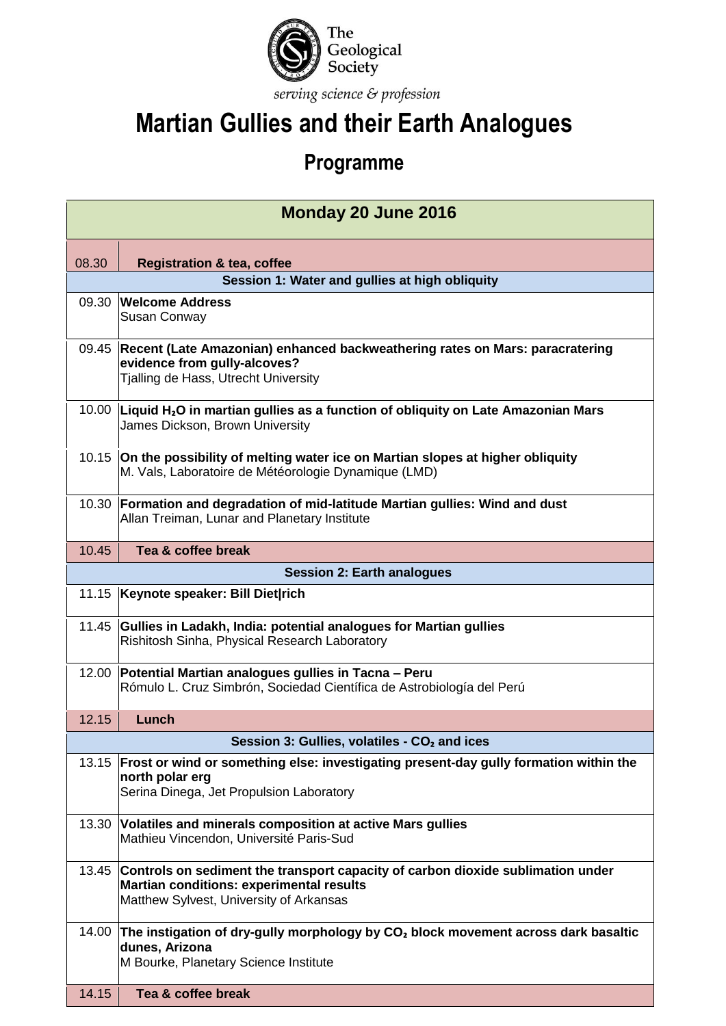

## **Martian Gullies and their Earth Analogues**

## **Programme**

| Monday 20 June 2016 |                                                                                                                                                                               |  |  |  |
|---------------------|-------------------------------------------------------------------------------------------------------------------------------------------------------------------------------|--|--|--|
| 08.30               | <b>Registration &amp; tea, coffee</b>                                                                                                                                         |  |  |  |
|                     | Session 1: Water and gullies at high obliquity                                                                                                                                |  |  |  |
| 09.30               | <b>Welcome Address</b><br>Susan Conway                                                                                                                                        |  |  |  |
|                     | 09.45 Recent (Late Amazonian) enhanced backweathering rates on Mars: paracratering<br>evidence from gully-alcoves?<br>Tjalling de Hass, Utrecht University                    |  |  |  |
|                     | 10.00 Liquid H <sub>2</sub> O in martian gullies as a function of obliquity on Late Amazonian Mars<br>James Dickson, Brown University                                         |  |  |  |
|                     | 10.15 On the possibility of melting water ice on Martian slopes at higher obliquity<br>M. Vals, Laboratoire de Météorologie Dynamique (LMD)                                   |  |  |  |
|                     | 10.30 Formation and degradation of mid-latitude Martian gullies: Wind and dust<br>Allan Treiman, Lunar and Planetary Institute                                                |  |  |  |
| 10.45               | Tea & coffee break                                                                                                                                                            |  |  |  |
|                     | <b>Session 2: Earth analogues</b>                                                                                                                                             |  |  |  |
| 11.15               | Keynote speaker: Bill Diet rich                                                                                                                                               |  |  |  |
|                     | 11.45 Gullies in Ladakh, India: potential analogues for Martian gullies<br>Rishitosh Sinha, Physical Research Laboratory                                                      |  |  |  |
| 12.00               | Potential Martian analogues gullies in Tacna - Peru<br>Rómulo L. Cruz Simbrón, Sociedad Científica de Astrobiología del Perú                                                  |  |  |  |
| 12.15               | Lunch                                                                                                                                                                         |  |  |  |
|                     | Session 3: Gullies, volatiles - CO <sub>2</sub> and ices                                                                                                                      |  |  |  |
|                     | 13.15 Frost or wind or something else: investigating present-day gully formation within the<br>north polar erg<br>Serina Dinega, Jet Propulsion Laboratory                    |  |  |  |
|                     | 13.30 Volatiles and minerals composition at active Mars gullies<br>Mathieu Vincendon, Université Paris-Sud                                                                    |  |  |  |
| 13.45               | Controls on sediment the transport capacity of carbon dioxide sublimation under<br><b>Martian conditions: experimental results</b><br>Matthew Sylvest, University of Arkansas |  |  |  |
| 14.00               | The instigation of dry-gully morphology by $CO2$ block movement across dark basaltic<br>dunes, Arizona<br>M Bourke, Planetary Science Institute                               |  |  |  |
| 14.15               | Tea & coffee break                                                                                                                                                            |  |  |  |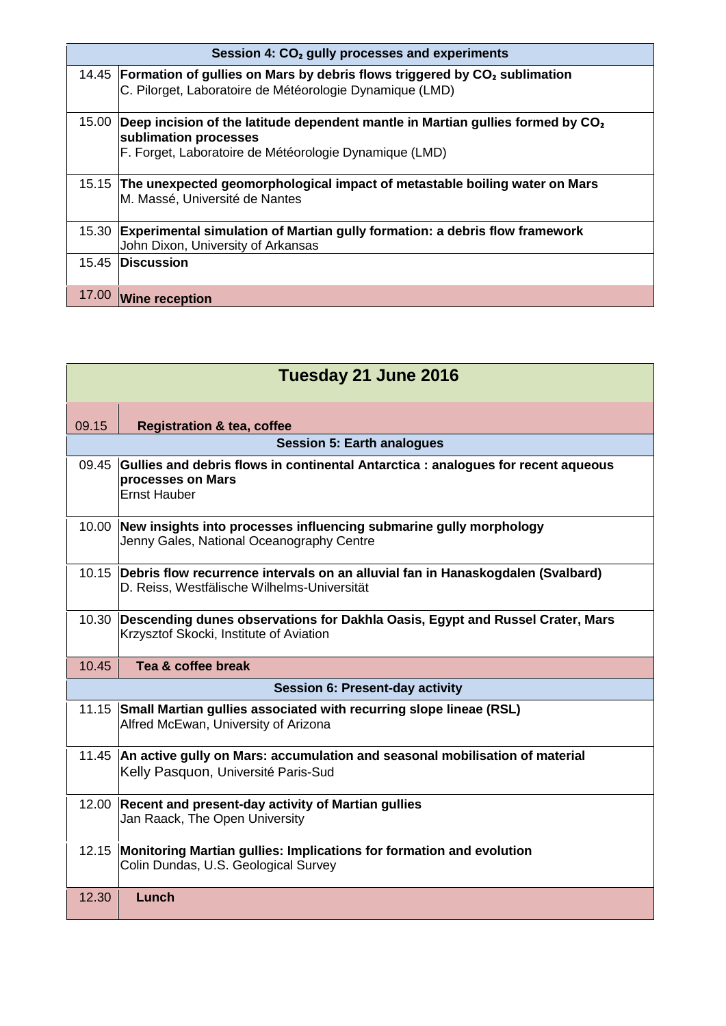| Session 4: CO <sub>2</sub> gully processes and experiments |                                                                                                                                                                                |
|------------------------------------------------------------|--------------------------------------------------------------------------------------------------------------------------------------------------------------------------------|
|                                                            | 14.45 Formation of gullies on Mars by debris flows triggered by $CO2$ sublimation<br>C. Pilorget, Laboratoire de Météorologie Dynamique (LMD)                                  |
| 15.00                                                      | Deep incision of the latitude dependent mantle in Martian gullies formed by CO <sub>2</sub><br>sublimation processes<br>F. Forget, Laboratoire de Météorologie Dynamique (LMD) |
|                                                            | 15.15 The unexpected geomorphological impact of metastable boiling water on Mars<br>M. Massé, Université de Nantes                                                             |
| 15.30                                                      | <b>Experimental simulation of Martian gully formation: a debris flow framework</b><br>John Dixon, University of Arkansas                                                       |
|                                                            | 15.45 Discussion                                                                                                                                                               |
| 17.00                                                      | <b>Wine reception</b>                                                                                                                                                          |

| Tuesday 21 June 2016 |                                                                                                                                |  |  |
|----------------------|--------------------------------------------------------------------------------------------------------------------------------|--|--|
| 09.15                | <b>Registration &amp; tea, coffee</b>                                                                                          |  |  |
|                      | <b>Session 5: Earth analogues</b>                                                                                              |  |  |
| 09.45                | Gullies and debris flows in continental Antarctica : analogues for recent aqueous<br>processes on Mars<br><b>Ernst Hauber</b>  |  |  |
| 10.00                | New insights into processes influencing submarine gully morphology<br>Jenny Gales, National Oceanography Centre                |  |  |
| 10.15                | Debris flow recurrence intervals on an alluvial fan in Hanaskogdalen (Svalbard)<br>D. Reiss, Westfälische Wilhelms-Universität |  |  |
| 10.30                | Descending dunes observations for Dakhla Oasis, Egypt and Russel Crater, Mars<br>Krzysztof Skocki, Institute of Aviation       |  |  |
| 10.45                | Tea & coffee break                                                                                                             |  |  |
|                      | <b>Session 6: Present-day activity</b>                                                                                         |  |  |
|                      | 11.15 Small Martian gullies associated with recurring slope lineae (RSL)<br>Alfred McEwan, University of Arizona               |  |  |
|                      | 11.45 An active gully on Mars: accumulation and seasonal mobilisation of material<br>Kelly Pasquon, Université Paris-Sud       |  |  |
| 12.00                | Recent and present-day activity of Martian gullies<br>Jan Raack, The Open University                                           |  |  |
| 12.15                | Monitoring Martian gullies: Implications for formation and evolution<br>Colin Dundas, U.S. Geological Survey                   |  |  |
| 12.30                | Lunch                                                                                                                          |  |  |